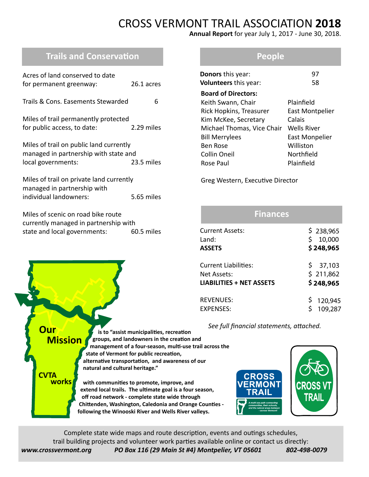# CROSS VERMONT TRAIL ASSOCIATION **2018**

**Annual Report** for year July 1, 2017 - June 30, 2018.

## **Trails and Conservation**

| Acres of land conserved to date<br>for permanent greenway:                                                  | 26.1 acres |
|-------------------------------------------------------------------------------------------------------------|------------|
| Trails & Cons. Fasements Stewarded                                                                          | 6          |
| Miles of trail permanently protected<br>for public access, to date:                                         | 2.29 miles |
| Miles of trail on public land currently<br>managed in partnership with state and<br>local governments:      | 23.5 miles |
| Miles of trail on private land currently<br>managed in partnership with<br>individual landowners:           | 5.65 miles |
| Miles of scenic on road bike route<br>currently managed in partnership with<br>state and local governments: | 60.5 miles |

#### **People**

| <b>Donors</b> this year:<br>Volunteers this year: | 97<br>58        |
|---------------------------------------------------|-----------------|
| <b>Board of Directors:</b>                        |                 |
| Keith Swann, Chair                                | Plainfield      |
| Rick Hopkins, Treasurer                           | East Montpelier |
| Kim McKee, Secretary                              | Calais          |
| Michael Thomas, Vice Chair                        | Wells River     |
| <b>Bill Merrylees</b>                             | East Monpelier  |
| <b>Ben Rose</b>                                   | Williston       |
| Collin Oneil                                      | Northfield      |
| Rose Paul                                         | Plainfield      |

Greg Western, Executive Director

| <b>Finances</b>                                     |                                        |  |  |  |
|-----------------------------------------------------|----------------------------------------|--|--|--|
| <b>Current Assets:</b><br>$L$ and:<br><b>ASSETS</b> | \$238,965<br>\$<br>10,000<br>\$248,965 |  |  |  |
| Current Liabilities:                                | \$37,103                               |  |  |  |
| Net Assets:                                         | \$211,862                              |  |  |  |
| <b>LIABILITIES + NET ASSETS</b>                     | \$248,965                              |  |  |  |
| <b>REVENUES:</b>                                    | 120,945                                |  |  |  |
| <b>FXPFNSFS:</b>                                    | 109,287                                |  |  |  |

 *See full financial statements, attached.*



Complete state wide maps and route description, events and outings schedules, trail building projects and volunteer work parties available online or contact us directly: *www.crossvermont.org PO Box 116 (29 Main St #4) Montpelier, VT 05601 802-498-0079*

 **is to "assist municipalities, recreation groups, and landowners in the creation and**

 **alternative transportation, and awareness of our** 

 **Chittenden, Washington, Caledonia and Orange Counties following the Winooski River and Wells River valleys.**

 **with communities to promote, improve, and extend local trails. The ultimate goal is a four season, off road network - complete state wide through**

 **state of Vermont for public recreation,**

 **natural and cultural heritage."**

**Our**

**CVTA**

**Mission**

**works**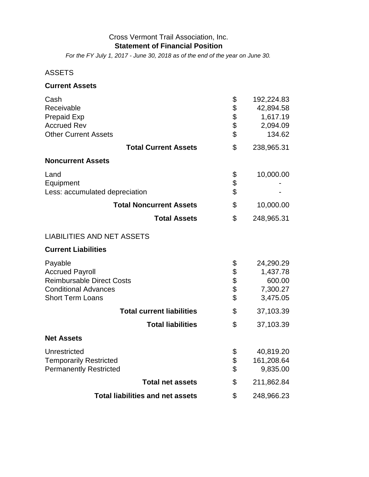#### Cross Vermont Trail Association, Inc. **Statement of Financial Position**

*For the FY July 1, 2017 - June 30, 2018 as of the end of the year on June 30.*

### ASSETS

#### **Current Assets**

| Cash                                              | \$       | 192,224.83         |
|---------------------------------------------------|----------|--------------------|
| Receivable                                        | \$\$\$\$ | 42,894.58          |
| <b>Prepaid Exp</b>                                |          | 1,617.19           |
| <b>Accrued Rev</b><br><b>Other Current Assets</b> |          | 2,094.09<br>134.62 |
|                                                   |          |                    |
| <b>Total Current Assets</b>                       | \$       | 238,965.31         |
| <b>Noncurrent Assets</b>                          |          |                    |
| Land                                              |          | 10,000.00          |
| Equipment                                         | \$<br>\$ |                    |
| Less: accumulated depreciation                    | \$       |                    |
| <b>Total Noncurrent Assets</b>                    | \$       | 10,000.00          |
| <b>Total Assets</b>                               | \$       | 248,965.31         |
| <b>LIABILITIES AND NET ASSETS</b>                 |          |                    |
| <b>Current Liabilities</b>                        |          |                    |
| Payable                                           | \$       | 24,290.29          |
| <b>Accrued Payroll</b>                            |          | 1,437.78           |
| <b>Reimbursable Direct Costs</b>                  | \$\$\$\$ | 600.00             |
| <b>Conditional Advances</b>                       |          | 7,300.27           |
| <b>Short Term Loans</b>                           |          | 3,475.05           |
| <b>Total current liabilities</b>                  | \$       | 37,103.39          |
| <b>Total liabilities</b>                          | \$       | 37,103.39          |
| <b>Net Assets</b>                                 |          |                    |
| Unrestricted                                      | \$       | 40,819.20          |
| <b>Temporarily Restricted</b>                     | \$       | 161,208.64         |
| <b>Permanently Restricted</b>                     | \$       | 9,835.00           |
| <b>Total net assets</b>                           | \$       | 211,862.84         |
| <b>Total liabilities and net assets</b>           | \$       | 248,966.23         |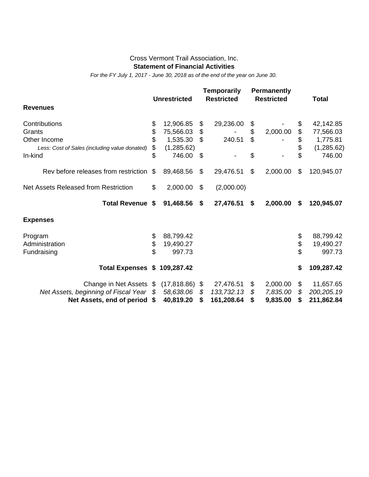#### Cross Vermont Trail Association, Inc. **Statement of Financial Activities**

*For the FY July 1, 2017 - June 30, 2018 as of the end of the year on June 30.*

|                                               |    | <b>Unrestricted</b> |    | Temporarily<br><b>Restricted</b> |    | <b>Permanently</b><br><b>Restricted</b> | <b>Total</b>      |
|-----------------------------------------------|----|---------------------|----|----------------------------------|----|-----------------------------------------|-------------------|
| <b>Revenues</b>                               |    |                     |    |                                  |    |                                         |                   |
| Contributions                                 | \$ | 12,906.85           | \$ | 29,236.00                        | \$ |                                         | \$<br>42,142.85   |
| Grants                                        | \$ | 75,566.03           | \$ |                                  | \$ | 2,000.00                                | \$<br>77,566.03   |
| Other Income                                  | \$ | 1,535.30            | \$ | 240.51                           | \$ |                                         | \$<br>1,775.81    |
| Less: Cost of Sales (including value donated) | \$ | (1,285.62)          |    |                                  |    |                                         | \$<br>(1,285.62)  |
| In-kind                                       | \$ | 746.00              | \$ |                                  | \$ |                                         | \$<br>746.00      |
| Rev before releases from restriction          | \$ | 89,468.56           | \$ | 29,476.51                        | \$ | 2,000.00                                | \$<br>120,945.07  |
| Net Assets Released from Restriction          | \$ | 2,000.00            | \$ | (2,000.00)                       |    |                                         |                   |
| <b>Total Revenue</b>                          | \$ | 91,468.56           | \$ | 27,476.51                        | \$ | 2,000.00                                | \$<br>120,945.07  |
| <b>Expenses</b>                               |    |                     |    |                                  |    |                                         |                   |
| Program                                       | \$ | 88,799.42           |    |                                  |    |                                         | \$<br>88,799.42   |
| Administration                                | \$ | 19,490.27           |    |                                  |    |                                         | \$<br>19,490.27   |
| Fundraising                                   | \$ | 997.73              |    |                                  |    |                                         | \$<br>997.73      |
| <b>Total Expenses</b>                         |    | \$109,287.42        |    |                                  |    |                                         | \$<br>109,287.42  |
| Change in Net Assets \$                       |    | (17, 818.86)        | \$ | 27,476.51                        | \$ | 2,000.00                                | \$<br>11,657.65   |
| Net Assets, beginning of Fiscal Year          | S  | 58,638.06           | \$ | 133,732.13                       | \$ | 7,835.00                                | \$<br>200, 205.19 |
| Net Assets, end of period                     |    | 40,819.20           | S  | 161,208.64                       | S  | 9,835.00                                | \$<br>211,862.84  |